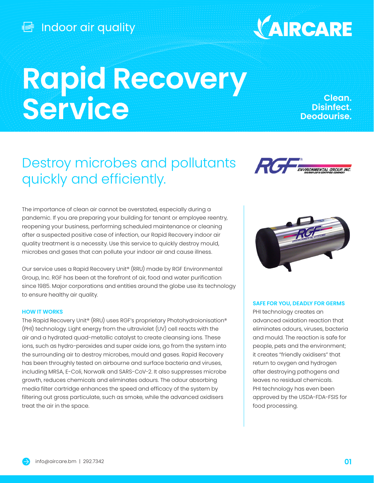

# **Rapid Recovery Service**

**Clean. Disinfect. Deodourise.**

## Destroy microbes and pollutants quickly and efficiently.



The importance of clean air cannot be overstated, especially during a pandemic. If you are preparing your building for tenant or employee reentry, reopening your business, performing scheduled maintenance or cleaning after a suspected positive case of infection, our Rapid Recovery indoor air quality treatment is a necessity. Use this service to quickly destroy mould, microbes and gases that can pollute your indoor air and cause illness.

Our service uses a Rapid Recovery Unit® (RRU) made by RGF Environmental Group, Inc. RGF has been at the forefront of air, food and water purification since 1985. Major corporations and entities around the globe use its technology to ensure healthy air quality.

#### **HOW IT WORKS**

The Rapid Recovery Unit® (RRU) uses RGF's proprietary Photohydroionisation® (PHI) technology. Light energy from the ultraviolet (UV) cell reacts with the air and a hydrated quad-metallic catalyst to create cleansing ions. These ions, such as hydro-peroxides and super oxide ions, go from the system into the surrounding air to destroy microbes, mould and gases. Rapid Recovery has been throughly tested on airbourne and surface bacteria and viruses, including MRSA, E-Coli, Norwalk and SARS-CoV-2. It also suppresses microbe growth, reduces chemicals and eliminates odours. The odour absorbing media filter cartridge enhances the speed and efficacy of the system by filtering out gross particulate, such as smoke, while the advanced oxidisers treat the air in the space.



#### **SAFE FOR YOU, DEADLY FOR GERMS**

PHI technology creates an advanced oxidation reaction that eliminates odours, viruses, bacteria and mould. The reaction is safe for people, pets and the environment; it creates "friendly oxidisers" that return to oxygen and hydrogen after destroying pathogens and leaves no residual chemicals. PHI technology has even been approved by the USDA-FDA-FSIS for food processing.